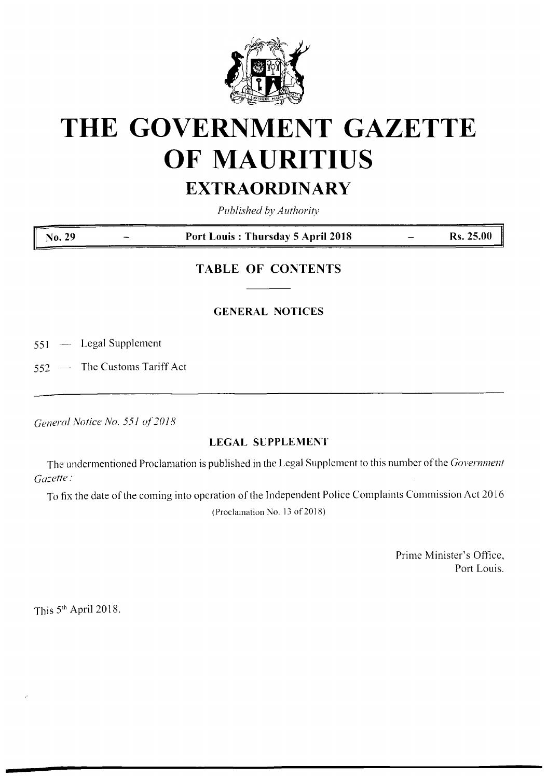

# **THE GOVERNMENT GAZETTE OF MAURITIUS**

# **EXTRAORDINARY**

*Published by Authority*

**No. <sup>29</sup> - Port Louis : Thursday <sup>5</sup> April <sup>2018</sup> - Rs. 25.00**

## **TABLE OF CONTENTS**

### **GENERAL NOTICES**

551 — Legal Supplement

552 — The Customs Tariff Act

*General Notice No. 551 of2018*

#### **LEGAL SUPPLEMENT**

The undermentioned Proclamation is published in the Legal Supplement to this number of the *Government Gazette:*

To fix the date of the coming into operation of the Independent Police Complaints Commission Act 2016

(Proclamation No. 13 of 2018)

Prime Minister's Office, Port Louis.

This 5<sup>th</sup> April 2018.